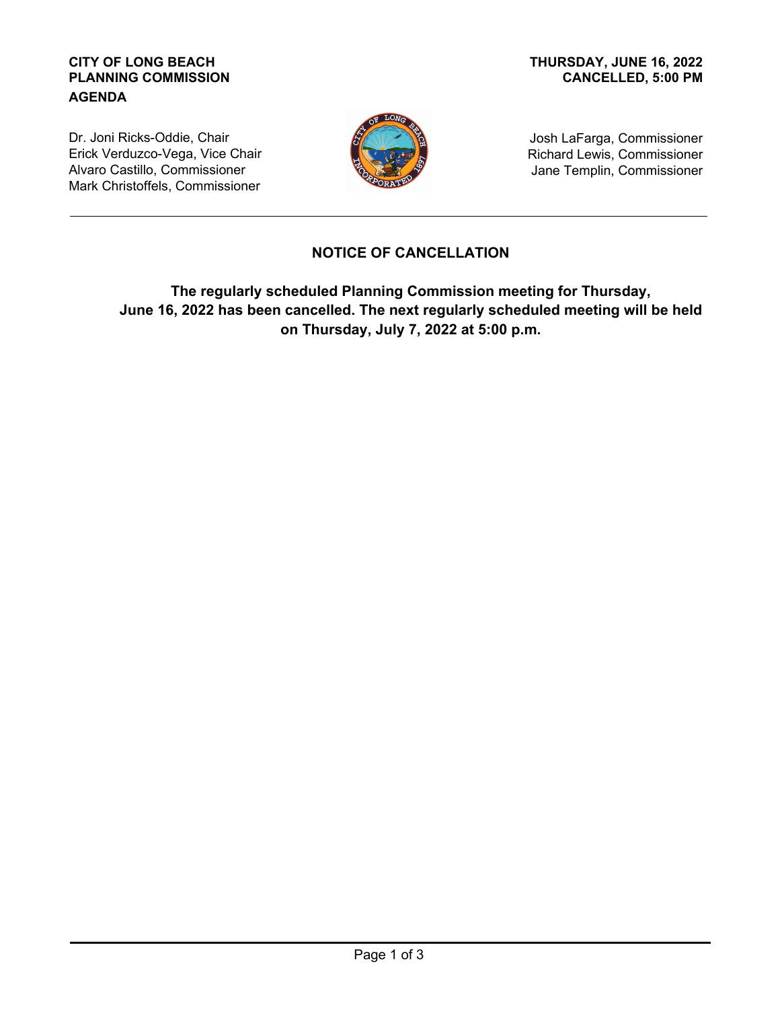## **CITY OF LONG BEACH PLANNING COMMISSION AGENDA**

## **CANCELLED, 5:00 PM THURSDAY, JUNE 16, 2022**

Dr. Joni Ricks-Oddie, Chair Erick Verduzco-Vega, Vice Chair Alvaro Castillo, Commissioner Mark Christoffels, Commissioner



Josh LaFarga, Commissioner Richard Lewis, Commissioner Jane Templin, Commissioner

## **NOTICE OF CANCELLATION**

**The regularly scheduled Planning Commission meeting for Thursday, June 16, 2022 has been cancelled. The next regularly scheduled meeting will be held on Thursday, July 7, 2022 at 5:00 p.m.**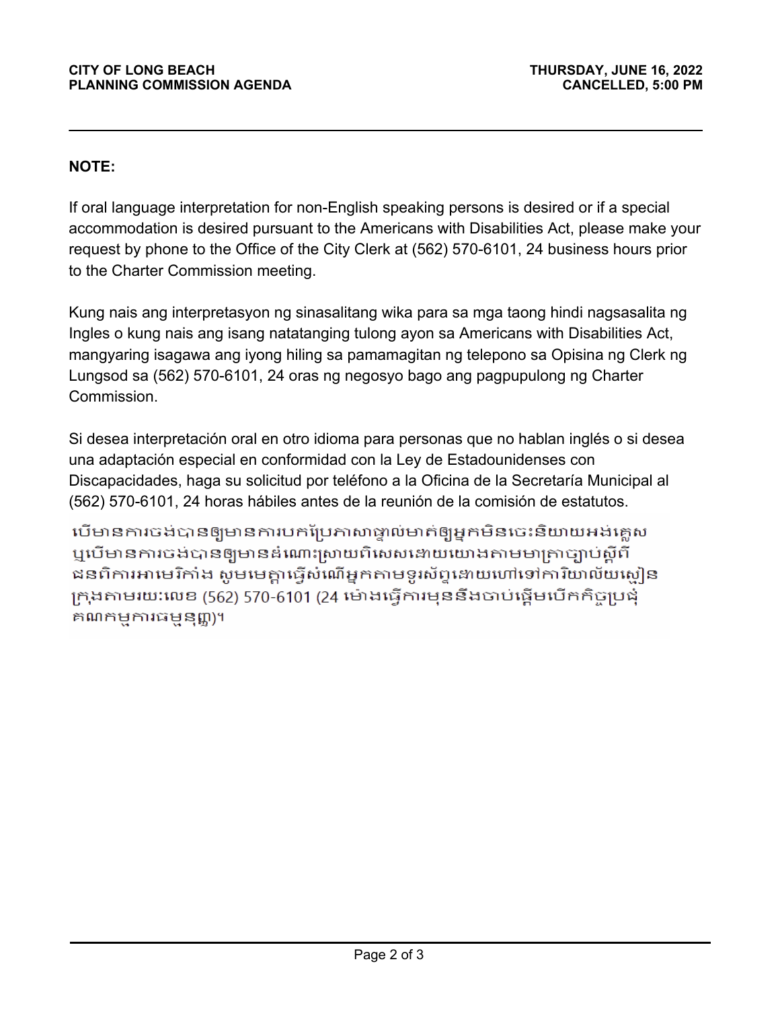## **NOTE:**

If oral language interpretation for non-English speaking persons is desired or if a special accommodation is desired pursuant to the Americans with Disabilities Act, please make your request by phone to the Office of the City Clerk at (562) 570-6101, 24 business hours prior to the Charter Commission meeting.

Kung nais ang interpretasyon ng sinasalitang wika para sa mga taong hindi nagsasalita ng Ingles o kung nais ang isang natatanging tulong ayon sa Americans with Disabilities Act, mangyaring isagawa ang iyong hiling sa pamamagitan ng telepono sa Opisina ng Clerk ng Lungsod sa (562) 570-6101, 24 oras ng negosyo bago ang pagpupulong ng Charter Commission.

Si desea interpretación oral en otro idioma para personas que no hablan inglés o si desea una adaptación especial en conformidad con la Ley de Estadounidenses con Discapacidades, haga su solicitud por teléfono a la Oficina de la Secretaría Municipal al (562) 570-6101, 24 horas hábiles antes de la reunión de la comisión de estatutos.

បើមានការចង់បានឲ្យមានការបកប្រែកាសាផ្ទាល់មាត់ឲ្យអ្នកមិនចេះនិយាយអង់គ្លេស ឬបើមានការចង់បានឲ្យមានដំណោះស្រាយពិសេសដោយយោងតាមមាត្រាច្បាប់ស្តីពី ជនពិការអាមេរិកាំង សូមមេគ្នាធ្វើសំណើអ្នកតាមទូរស័ព្ទនោយហៅទៅការិយាល័យសៀន ក្រុងតាមរយៈលេខ (562) 570-6101 (24 ម៉ោងធ្វើការមុននឹងចាប់ផ្តើមបើកកិច្ចប្រជុំ គណកម្មការធម្មនុញ្ញ)។